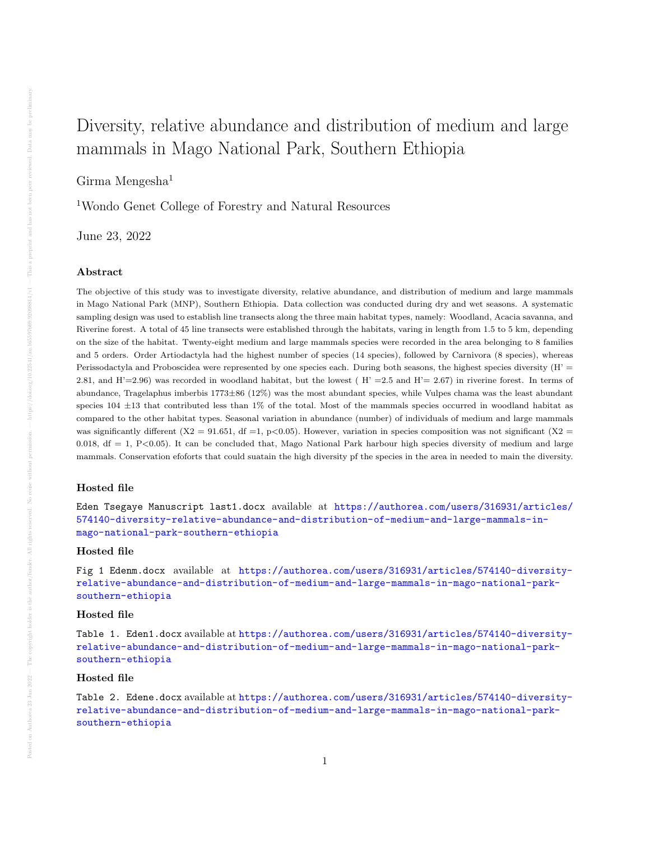# Diversity, relative abundance and distribution of medium and large mammals in Mago National Park, Southern Ethiopia

Girma Mengesha $<sup>1</sup>$ </sup>

<sup>1</sup>Wondo Genet College of Forestry and Natural Resources

June 23, 2022

#### Abstract

The objective of this study was to investigate diversity, relative abundance, and distribution of medium and large mammals in Mago National Park (MNP), Southern Ethiopia. Data collection was conducted during dry and wet seasons. A systematic sampling design was used to establish line transects along the three main habitat types, namely: Woodland, Acacia savanna, and Riverine forest. A total of 45 line transects were established through the habitats, varing in length from 1.5 to 5 km, depending on the size of the habitat. Twenty-eight medium and large mammals species were recorded in the area belonging to 8 families and 5 orders. Order Artiodactyla had the highest number of species (14 species), followed by Carnivora (8 species), whereas Perissodactyla and Proboscidea were represented by one species each. During both seasons, the highest species diversity  $(H' =$ 2.81, and  $H'=2.96$ ) was recorded in woodland habitat, but the lowest ( $H'=2.5$  and  $H'=2.67$ ) in riverine forest. In terms of abundance, Tragelaphus imberbis 1773±86 (12%) was the most abundant species, while Vulpes chama was the least abundant species  $104 \pm 13$  that contributed less than 1% of the total. Most of the mammals species occurred in woodland habitat as compared to the other habitat types. Seasonal variation in abundance (number) of individuals of medium and large mammals was significantly different (X2 = 91.651, df =1, p<0.05). However, variation in species composition was not significant (X2 = 0.018,  $df = 1$ ,  $P < 0.05$ ). It can be concluded that, Mago National Park harbour high species diversity of medium and large mammals. Conservation efoforts that could suatain the high diversity pf the species in the area in needed to main the diversity.

#### Hosted file

Eden Tsegaye Manuscript last1.docx available at [https://authorea.com/users/316931/articles/](https://authorea.com/users/316931/articles/574140-diversity-relative-abundance-and-distribution-of-medium-and-large-mammals-in-mago-national-park-southern-ethiopia) [574140-diversity-relative-abundance-and-distribution-of-medium-and-large-mammals-in](https://authorea.com/users/316931/articles/574140-diversity-relative-abundance-and-distribution-of-medium-and-large-mammals-in-mago-national-park-southern-ethiopia)[mago-national-park-southern-ethiopia](https://authorea.com/users/316931/articles/574140-diversity-relative-abundance-and-distribution-of-medium-and-large-mammals-in-mago-national-park-southern-ethiopia)

#### Hosted file

Fig 1 Edenm.docx available at [https://authorea.com/users/316931/articles/574140-diversity](https://authorea.com/users/316931/articles/574140-diversity-relative-abundance-and-distribution-of-medium-and-large-mammals-in-mago-national-park-southern-ethiopia)[relative-abundance-and-distribution-of-medium-and-large-mammals-in-mago-national-park](https://authorea.com/users/316931/articles/574140-diversity-relative-abundance-and-distribution-of-medium-and-large-mammals-in-mago-national-park-southern-ethiopia)[southern-ethiopia](https://authorea.com/users/316931/articles/574140-diversity-relative-abundance-and-distribution-of-medium-and-large-mammals-in-mago-national-park-southern-ethiopia)

### Hosted file

Table 1. Eden1.docx available at [https://authorea.com/users/316931/articles/574140-diversity](https://authorea.com/users/316931/articles/574140-diversity-relative-abundance-and-distribution-of-medium-and-large-mammals-in-mago-national-park-southern-ethiopia)[relative-abundance-and-distribution-of-medium-and-large-mammals-in-mago-national-park](https://authorea.com/users/316931/articles/574140-diversity-relative-abundance-and-distribution-of-medium-and-large-mammals-in-mago-national-park-southern-ethiopia)[southern-ethiopia](https://authorea.com/users/316931/articles/574140-diversity-relative-abundance-and-distribution-of-medium-and-large-mammals-in-mago-national-park-southern-ethiopia)

#### Hosted file

Table 2. Edene.docx available at [https://authorea.com/users/316931/articles/574140-diversity](https://authorea.com/users/316931/articles/574140-diversity-relative-abundance-and-distribution-of-medium-and-large-mammals-in-mago-national-park-southern-ethiopia)[relative-abundance-and-distribution-of-medium-and-large-mammals-in-mago-national-park](https://authorea.com/users/316931/articles/574140-diversity-relative-abundance-and-distribution-of-medium-and-large-mammals-in-mago-national-park-southern-ethiopia)[southern-ethiopia](https://authorea.com/users/316931/articles/574140-diversity-relative-abundance-and-distribution-of-medium-and-large-mammals-in-mago-national-park-southern-ethiopia)